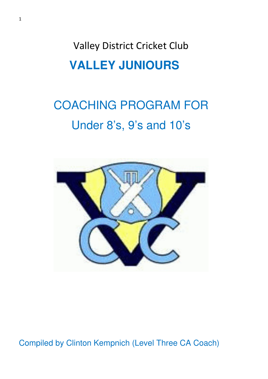Valley District Cricket Club **VALLEY JUNIOURS** 

# COACHING PROGRAM FOR Under 8's, 9's and 10's



Compiled by Clinton Kempnich (Level Three CA Coach)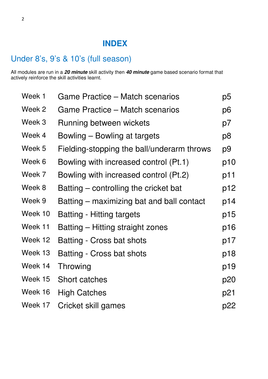### **INDEX**

### Under 8's, 9's & 10's (full season)

All modules are run in a **20 minute** skill activity then **40 minute** game based scenario format that actively reinforce the skill activities learnt.

| Week 1  | Game Practice – Match scenarios            | p <sub>5</sub> |
|---------|--------------------------------------------|----------------|
| Week 2  | Game Practice – Match scenarios            | p6             |
| Week 3  | Running between wickets                    | p7             |
| Week 4  | Bowling – Bowling at targets               | p8             |
| Week 5  | Fielding-stopping the ball/underarm throws | p9             |
| Week 6  | Bowling with increased control (Pt.1)      | p10            |
| Week 7  | Bowling with increased control (Pt.2)      | p11            |
| Week 8  | Batting – controlling the cricket bat      | p12            |
| Week 9  | Batting – maximizing bat and ball contact  | p14            |
| Week 10 | <b>Batting - Hitting targets</b>           | p15            |
| Week 11 | Batting – Hitting straight zones           | p16            |
| Week 12 | <b>Batting - Cross bat shots</b>           | p17            |
| Week 13 | <b>Batting - Cross bat shots</b>           | p18            |
| Week 14 | Throwing                                   | p19            |
| Week 15 | <b>Short catches</b>                       | p20            |
| Week 16 | <b>High Catches</b>                        | p21            |
| Week 17 | Cricket skill games                        | p22            |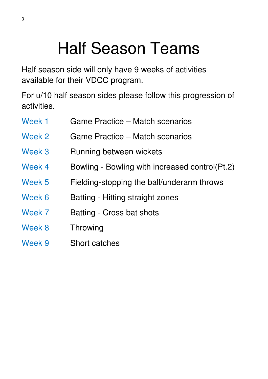# Half Season Teams

Half season side will only have 9 weeks of activities available for their VDCC program.

For u/10 half season sides please follow this progression of activities.

| Week 1 | Game Practice – Match scenarios                |  |
|--------|------------------------------------------------|--|
| Week 2 | Game Practice – Match scenarios                |  |
| Week 3 | Running between wickets                        |  |
| Week 4 | Bowling - Bowling with increased control(Pt.2) |  |
| Week 5 | Fielding-stopping the ball/underarm throws     |  |
| Week 6 | Batting - Hitting straight zones               |  |
| Week 7 | Batting - Cross bat shots                      |  |
| Week 8 | Throwing                                       |  |
| Week 9 | Short catches                                  |  |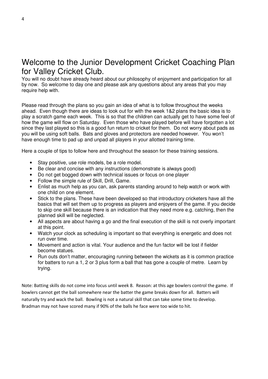### Welcome to the Junior Development Cricket Coaching Plan for Valley Cricket Club.

You will no doubt have already heard about our philosophy of enjoyment and participation for all by now. So welcome to day one and please ask any questions about any areas that you may require help with.

Please read through the plans so you gain an idea of what is to follow throughout the weeks ahead. Even though there are ideas to look out for with the week 1&2 plans the basic idea is to play a scratch game each week. This is so that the children can actually get to have some feel of how the game will flow on Saturday. Even those who have played before will have forgotten a lot since they last played so this is a good fun return to cricket for them. Do not worry about pads as you will be using soft balls. Bats and gloves and protectors are needed however. You won't have enough time to pad up and unpad all players in your allotted training time.

Here a couple of tips to follow here and throughout the season for these training sessions.

- Stay positive, use role models, be a role model.
- Be clear and concise with any instructions (demonstrate is always good)
- Do not get bogged down with technical issues or focus on one player
- Follow the simple rule of Skill, Drill, Game.
- Enlist as much help as you can, ask parents standing around to help watch or work with one child on one element.
- Stick to the plans. These have been developed so that introductory cricketers have all the basics that will set them up to progress as players and enjoyers of the game. If you decide to skip one skill because there is an indication that they need more e.g. catching, then the planned skill will be neglected.
- All aspects are about having a go and the final execution of the skill is not overly important at this point.
- Watch your clock as scheduling is important so that everything is energetic and does not run over time.
- Movement and action is vital. Your audience and the fun factor will be lost if fielder become statues.
- Run outs don't matter, encouraging running between the wickets as it is common practice for batters to run a 1, 2 or 3 plus form a ball that has gone a couple of metre. Learn by trying.

Note: Batting skills do not come into focus until week 8. Reason: at this age bowlers control the game. If bowlers cannot get the ball somewhere near the batter the game breaks down for all. Batters will naturally try and wack the ball. Bowling is not a natural skill that can take some time to develop. Bradman may not have scored many if 90% of the balls he face were too wide to hit.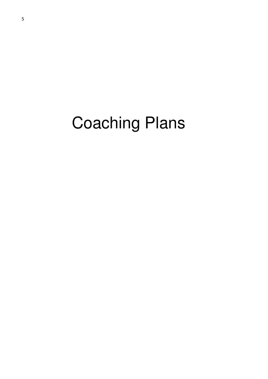# Coaching Plans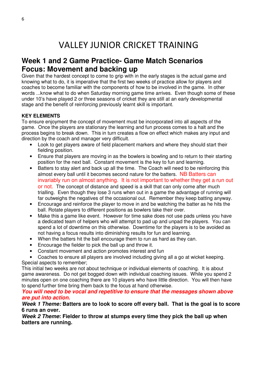### **Week 1 and 2 Game Practice- Game Match Scenarios Focus: Movement and backing up**

Given that the hardest concept to come to grip with in the early stages is the actual game and knowing what to do, it is imperative that the first two weeks of practice allow for players and coaches to become familiar with the components of how to be involved in the game. In other words ...know what to do when Saturday morning game time arrives. Even though some of these under 10's have played 2 or three seasons of cricket they are still at an early developmental stage and the benefit of reinforcing previously learnt skill is important.

#### **KEY ELEMENTS**

To ensure enjoyment the concept of movement must be incorporated into all aspects of the game. Once the players are stationary the learning and fun process comes to a halt and the process begins to break down. This in turn creates a flow on effect which makes any input and direction by the coach and manager very difficult.

- Look to get players aware of field placement markers and where they should start their fielding position.
- Ensure that players are moving in as the bowlers is bowling and to return to their starting position for the next ball. Constant movement is the key to fun and learning.
- Batters to stay alert and back up all the time. The Coach will need to be reinforcing this almost every ball until it becomes second nature for the batters. NB Batters can invariably run on almost anything. It is not important to whether they get a run out or not. The concept of distance and speed is a skill that can only come after much trialling. Even though they lose 3 runs when out in a game the advantage of running will far outweighs the negatives of the occasional out. Remember they keep batting anyway.
- Encourage and reinforce the player to move in and be watching the batter as he hits the ball. Rotate players to different positions as bowlers take their over.
- Make this a game like event. However for time sake does not use pads unless you have a dedicated team of helpers who will attempt to pad up and unpad the players. You can spend a lot of downtime on this otherwise. Downtime for the players is to be avoided as not having a focus results into diminishing results for fun and learning.
- When the batters hit the ball encourage them to run as hard as they can.
- Encourage the fielder to pick the ball up and throw it.
- Constant movement and action promotes interest and fun
- Coaches to ensure all players are involved including giving all a go at wicket keeping. Special aspects to remember;

This initial two weeks are not about technique or individual elements of coaching. It is about game awareness. Do not get bogged down with individual coaching issues. While you spend 2 minutes open on one coaching there are 10 players who have little direction. You will then have to spend further time bring them back to the focus at hand otherwise.

#### **You will need to be vocal and repetitive to ensure that the messages shown above are put into action.**

**Week 1 Theme: Batters are to look to score off every ball. That is the goal is to score 6 runs an over.** 

**Week 2 Theme: Fielder to throw at stumps every time they pick the ball up when batters are running.**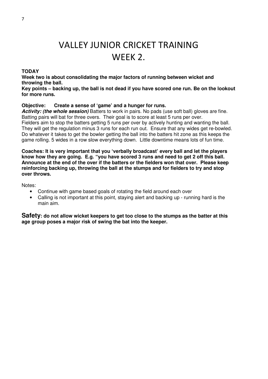# VALLEY JUNIOR CRICKET TRAINING WEEK 2.

#### **TODAY**

**Week two is about consolidating the major factors of running between wicket and throwing the ball.** 

**Key points – backing up, the ball is not dead if you have scored one run. Be on the lookout for more runs.** 

#### **Objective: Create a sense of 'game' and a hunger for runs.**

**Activity: (the whole session)** Batters to work in pairs. No pads (use soft ball) gloves are fine. Batting pairs will bat for three overs. Their goal is to score at least 5 runs per over. Fielders aim to stop the batters getting 5 runs per over by actively hunting and wanting the ball. They will get the regulation minus 3 runs for each run out. Ensure that any wides get re-bowled. Do whatever it takes to get the bowler getting the ball into the batters hit zone as this keeps the game rolling. 5 wides in a row slow everything down. Little downtime means lots of fun time.

**Coaches: It is very important that you 'verbally broadcast' every ball and let the players know how they are going. E.g. "you have scored 3 runs and need to get 2 off this ball. Announce at the end of the over if the batters or the fielders won that over. Please keep reinforcing backing up, throwing the ball at the stumps and for fielders to try and stop over throws.** 

Notes:

- Continue with game based goals of rotating the field around each over
- Calling is not important at this point, staying alert and backing up running hard is the main aim.

**Safety: do not allow wicket keepers to get too close to the stumps as the batter at this age group poses a major risk of swing the bat into the keeper.**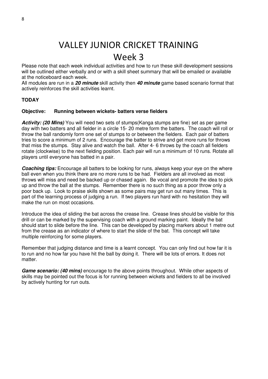### Week 3

Please note that each week individual activities and how to run these skill development sessions will be outlined either verbally and or with a skill sheet summary that will be emailed or available at the noticeboard each week.

All modules are run in a **20 minute** skill activity then **40 minute** game based scenario format that actively reinforces the skill activities learnt.

#### **TODAY**

#### **Objective: Running between wickets- batters verse fielders**

**Activity: (20 Mins)** You will need two sets of stumps(Kanga stumps are fine) set as per game day with two batters and all fielder in a circle 15- 20 metre form the batters. The coach will roll or throw the ball randomly form one set of stumps to or between the fielders. Each pair of batters tries to score a minimum of 2 runs. Encourage the batter to strive and get more runs for throws that miss the stumps. Stay alive and watch the ball. After 4- 6 throws by the coach all fielders rotate (clockwise) to the next fielding position. Each pair will run a minimum of 10 runs. Rotate all players until everyone has batted in a pair.

**Coaching tips:** Encourage all batters to be looking for runs, always keep your eye on the where ball even when you think there are no more runs to be had. Fielders are all involved as most throws will miss and need be backed up or chased again. Be vocal and promote the idea to pick up and throw the ball at the stumps. Remember there is no such thing as a poor throw only a poor back up. Look to praise skills shown as some pairs may get run out many times. This is part of the learning process of judging a run. If two players run hard with no hesitation they will make the run on most occasions.

Introduce the idea of sliding the bat across the crease line. Crease lines should be visible for this drill or can be marked by the supervising coach with a ground marking paint. Ideally the bat should start to slide before the line. This can be developed by placing markers about 1 metre out from the crease as an indicator of where to start the slide of the bat. This concept will take multiple reinforcing for some players.

Remember that judging distance and time is a learnt concept. You can only find out how far it is to run and no how far you have hit the ball by doing it. There will be lots of errors. It does not matter.

**Game scenario: (40 mins)** encourage to the above points throughout. While other aspects of skills may be pointed out the focus is for running between wickets and fielders to all be involved by actively hunting for run outs.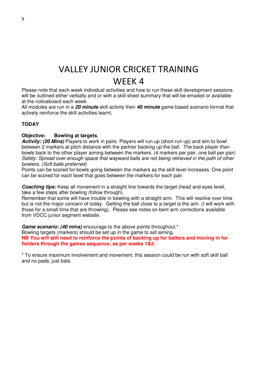Please note that each week individual activities and how to run these skill development sessions will be outlined either verbally and or with a skill sheet summary that will be emailed or available at the noticeboard each week.

All modules are run in a **20 minute** skill activity then **40 minute** game based scenario format that actively reinforce the skill activities learnt.

#### **TODAY**

#### **Objective: Bowling at targets.**

**Activity: (20 Mins)** Players to work in pairs. Players will run up (short run up) and aim to bowl between 2 markers at pitch distance with the partner backing up the ball. The back player then bowls back to the other player aiming between the markers. (4 markers per pair, one ball per pair) Safety: Spread over enough space that wayward balls are not being retrieved in the path of other bowlers. (Soft balls preferred)

Points can be scored for bowls going between the markers as the skill level increases. One point can be scored for each bowl that goes between the markers for each pair.

**Coaching tips:** Keep all movement in a straight line towards the target (head and eyes level, take a few steps after bowling (follow through).

Remember that some will have trouble in bowling with a straight arm. This will resolve over time but is not the major concern of today. Getting the ball close to a target is the aim. (I will work with those for a small time that are throwing). Please see notes on bent arm corrections available from VDCC junior segment website.

**Game scenario: (40 mins)** encourage to the above points throughout.<sup>\*</sup> Bowling targets (markers) should be set up in the game to aid aiming. **NB You will still need to reinforce the points of backing up for batters and moving in for fielders through the games sequence; as per weeks 1&2.** 

\* To ensure maximum involvement and movement, this session could be run with soft skill ball and no pads, just bats.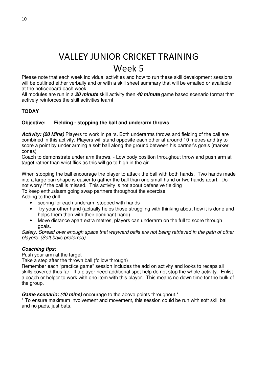Please note that each week individual activities and how to run these skill development sessions will be outlined either verbally and or with a skill sheet summary that will be emailed or available at the noticeboard each week.

All modules are run in a **20 minute** skill activity then **40 minute** game based scenario format that actively reinforces the skill activities learnt.

#### **TODAY**

#### **Objective: Fielding - stopping the ball and underarm throws**

Activity: (20 Mins) Players to work in pairs. Both underarms throws and fielding of the ball are combined in this activity. Players will stand opposite each other at around 10 metres and try to score a point by under arming a soft ball along the ground between his partner's goals (marker cones)

Coach to demonstrate under arm throws. - Low body position throughout throw and push arm at target rather than wrist flick as this will go to high in the air.

When stopping the ball encourage the player to attack the ball with both hands. Two hands made into a large pan shape is easier to gather the ball than one small hand or two hands apart. Do not worry if the ball is missed. This activity is not about defensive fielding To keep enthusiasm going swap partners throughout the exercise. Adding to the drill

- scoring for each underarm stopped with hands
- try your other hand (actually helps those struggling with thinking about how it is done and helps them then with their dominant hand)
- Move distance apart extra metres, players can underarm on the full to score through goals.

Safety: Spread over enough space that wayward balls are not being retrieved in the path of other players. (Soft balls preferred)

#### **Coaching tips:**

Push your arm at the target

Take a step after the thrown ball (follow through)

Remember each "practice game" session includes the add on activity and looks to recaps all skills covered thus far. If a player need additional spot help do not stop the whole activity. Enlist a coach or helper to work with one item with this player. This means no down time for the bulk of the group.

Game scenario: (40 mins) encourage to the above points throughout.<sup>\*</sup>

\* To ensure maximum involvement and movement, this session could be run with soft skill ball and no pads, just bats.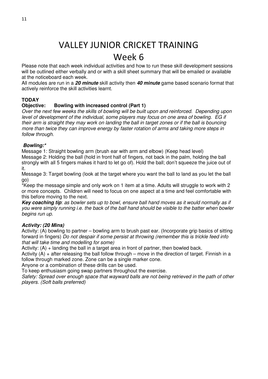### Week 6

Please note that each week individual activities and how to run these skill development sessions will be outlined either verbally and or with a skill sheet summary that will be emailed or available at the noticeboard each week.

All modules are run in a **20 minute** skill activity then **40 minute** game based scenario format that actively reinforce the skill activities learnt.

#### **TODAY**

#### **Objective: Bowling with increased control (Part 1)**

Over the next few weeks the skills of bowling will be built upon and reinforced. Depending upon level of development of the individual, some players may focus on one area of bowling. EG if their arm is straight they may work on landing the ball in target zones or if the ball is bouncing more than twice they can improve energy by faster rotation of arms and taking more steps in follow through.

#### **Bowling:\***

Message 1: Straight bowling arm (brush ear with arm and elbow) (Keep head level) Message 2: Holding the ball (hold in front half of fingers, not back in the palm, holding the ball strongly with all 5 fingers makes it hard to let go of). Hold the ball; don't squeeze the juice out of it.

Message 3: Target bowling (look at the target where you want the ball to land as you let the ball go)

\*Keep the message simple and only work on 1 item at a time. Adults will struggle to work with 2 or more concepts. Children will need to focus on one aspect at a time and feel comfortable with this before moving to the next.

**Key coaching tip**: as bowler sets up to bowl, ensure ball hand moves as it would normally as if you were simply running i.e. the back of the ball hand should be visible to the batter when bowler begins run up.

#### **Activity: (20 Mins)**

Activity: (A) bowling to partner – bowling arm to brush past ear. (Incorporate grip basics of sitting forward in fingers) Do not despair if some persist at throwing (remember this is trickle feed info that will take time and modelling for some)

Activity:  $(A)$  + landing the ball in a target area in front of partner, then bowled back.

Activity  $(A)$  + after releasing the ball follow through – move in the direction of target. Finnish in a follow through marked zone. Zone can be a single marker cone.

Anyone or a combination of these drills can be used.

To keep enthusiasm going swap partners throughout the exercise.

Safety: Spread over enough space that wayward balls are not being retrieved in the path of other players. (Soft balls preferred)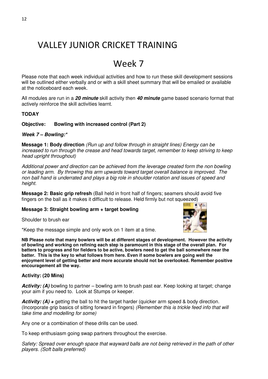### Week 7

Please note that each week individual activities and how to run these skill development sessions will be outlined either verbally and or with a skill sheet summary that will be emailed or available at the noticeboard each week.

All modules are run in a **20 minute** skill activity then **40 minute** game based scenario format that actively reinforce the skill activities learnt.

#### **TODAY**

#### **Objective: Bowling with increased control (Part 2)**

#### **Week 7 – Bowling:\***

**Message 1: Body direction** (Run up and follow through in straight lines) Energy can be increased to run through the crease and head towards target, remember to keep striving to keep head upright throughout)

Additional power and direction can be achieved from the leverage created form the non bowling or leading arm. By throwing this arm upwards toward target overall balance is improved. The non ball hand is underrated and plays a big role in shoulder rotation and issues of speed and height.

**Message 2: Basic grip refresh** (Ball held in front half of fingers; seamers should avoid five fingers on the ball as it makes it difficult to release. Held firmly but not squeezed)

#### **Message 3: Straight bowling arm + target bowling**

Shoulder to brush ear

\*Keep the message simple and only work on 1 item at a time.

**NB Please note that many bowlers will be at different stages of development. However the activity of bowling and working on refining each step is paramount in this stage of the overall plan. For batters to progress and for fielders to be active, bowlers need to get the ball somewhere near the batter. This is the key to what follows from here. Even if some bowlers are going well the enjoyment level of getting better and more accurate should not be overlooked. Remember positive encouragement all the way.**

#### **Activity: (20 Mins)**

**Activity: (A)** bowling to partner – bowling arm to brush past ear. Keep looking at target; change your aim if you need to. Look at Stumps or keeper.

**Activity: (A) + getting the ball to hit the target harder (quicker arm speed & body direction.** (Incorporate grip basics of sitting forward in fingers) (Remember this is trickle feed info that will take time and modelling for some)

Any one or a combination of these drills can be used.

To keep enthusiasm going swap partners throughout the exercise.

Safety: Spread over enough space that wayward balls are not being retrieved in the path of other players. (Soft balls preferred)

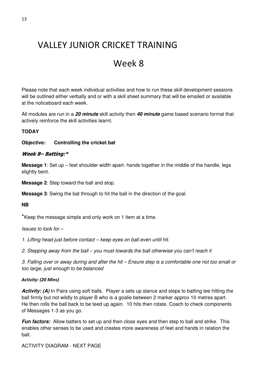### Week 8

Please note that each week individual activities and how to run these skill development sessions will be outlined either verbally and or with a skill sheet summary that will be emailed or available at the noticeboard each week.

All modules are run in a **20 minute** skill activity then **40 minute** game based scenario format that actively reinforce the skill activities learnt.

#### **TODAY**

#### **Objective: Controlling the cricket bat**

#### Week 8– Batting:\*

**Message 1:** Set up – feet shoulder width apart- hands together in the middle of the handle, legs slightly bent.

**Message 2**: Step toward the ball and stop.

**Message 3**: Swing the bat through to hit the ball in the direction of the goal.

#### **NB**

\*Keep the message simple and only work on 1 item at a time.

Issues to look for –

1. Lifting head just before contact – keep eyes on ball even until hit.

2. Stepping away from the ball – you must towards the ball otherwise you can't reach it

3. Falling over or away during and after the hit – Ensure step is a comfortable one not too small or too large, just enough to be balanced

#### Activity: (20 Mins)

Activity: (A) In Pairs using soft balls. Player a sets up stance and steps to batting tee hitting the ball firmly but not wildly to player B who is a goalie between 2 marker approx 10 metres apart. He then rolls the ball back to be teed up again. 10 hits then rotate. Coach to check components of Messages 1-3 as you go.

**Fun factors:** Allow batters to set up and then close eyes and then step to ball and strike. This enables other senses to be used and creates more awareness of feet and hands in relation the ball.

ACTIVITY DIAGRAM - NEXT PAGE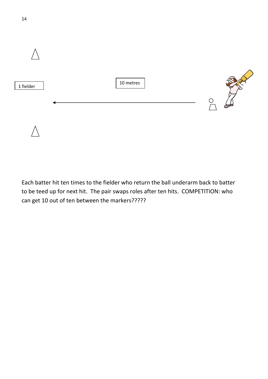

Each batter hit ten times to the fielder who return the ball underarm back to batter to be teed up for next hit. The pair swaps roles after ten hits. COMPETITION: who can get 10 out of ten between the markers?????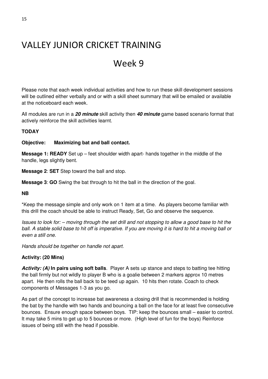### Week 9

Please note that each week individual activities and how to run these skill development sessions will be outlined either verbally and or with a skill sheet summary that will be emailed or available at the noticeboard each week.

All modules are run in a **20 minute** skill activity then **40 minute** game based scenario format that actively reinforce the skill activities learnt.

#### **TODAY**

#### **Objective: Maximizing bat and ball contact.**

**Message 1: READY** Set up – feet shoulder width apart- hands together in the middle of the handle, legs slightly bent.

**Message 2**: **SET** Step toward the ball and stop.

**Message 3**: **GO** Swing the bat through to hit the ball in the direction of the goal.

**NB** 

\*Keep the message simple and only work on 1 item at a time. As players become familiar with this drill the coach should be able to instruct Ready, Set, Go and observe the sequence.

Issues to look for: – moving through the set drill and not stopping to allow a good base to hit the ball. A stable solid base to hit off is imperative. If you are moving it is hard to hit a moving ball or even a still one.

Hands should be together on handle not apart.

#### **Activity: (20 Mins)**

**Activity: (A) In pairs using soft balls**. Player A sets up stance and steps to batting tee hitting the ball firmly but not wildly to player B who is a goalie between 2 markers approx 10 metres apart. He then rolls the ball back to be teed up again. 10 hits then rotate. Coach to check components of Messages 1-3 as you go.

As part of the concept to increase bat awareness a closing drill that is recommended is holding the bat by the handle with two hands and bouncing a ball on the face for at least five consecutive bounces. Ensure enough space between boys. TIP: keep the bounces small – easier to control. It may take 5 mins to get up to 5 bounces or more. (High level of fun for the boys) Reinforce issues of being still with the head if possible.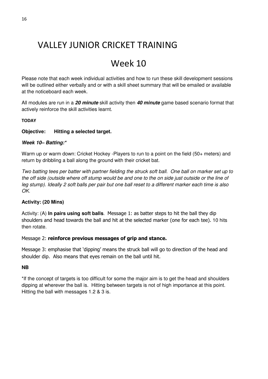## Week 10

Please note that each week individual activities and how to run these skill development sessions will be outlined either verbally and or with a skill sheet summary that will be emailed or available at the noticeboard each week.

All modules are run in a **20 minute** skill activity then **40 minute** game based scenario format that actively reinforce the skill activities learnt.

#### **TODAY**

#### **Objective: Hitting a selected target.**

#### **Week 10– Batting:\***

Warm up or warm down: Cricket Hockey -Players to run to a point on the field (50+ meters) and return by dribbling a ball along the ground with their cricket bat.

Two batting tees per batter with partner fielding the struck soft ball. One ball on marker set up to the off side (outside where off stump would be and one to the on side just outside or the line of leg stump). Ideally 2 soft balls per pair but one ball reset to a different marker each time is also OK.

#### **Activity: (20 Mins)**

Activity: (A) **In pairs using soft balls**. Message 1: as batter steps to hit the ball they dip shoulders and head towards the ball and hit at the selected marker (one for each tee). 10 hits then rotate.

#### Message 2: reinforce previous messages of grip and stance.

Message 3: emphasise that 'dipping' means the struck ball will go to direction of the head and shoulder dip. Also means that eyes remain on the ball until hit.

#### **NB**

\*If the concept of targets is too difficult for some the major aim is to get the head and shoulders dipping at wherever the ball is. Hitting between targets is not of high importance at this point. Hitting the ball with messages 1.2 & 3 is.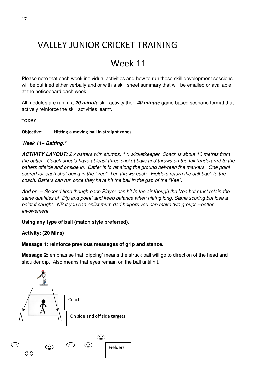## Week 11

Please note that each week individual activities and how to run these skill development sessions will be outlined either verbally and or with a skill sheet summary that will be emailed or available at the noticeboard each week.

All modules are run in a **20 minute** skill activity then **40 minute** game based scenario format that actively reinforce the skill activities learnt.

#### **TODAY**

Objective: Hitting a moving ball in straight zones

#### **Week 11– Batting:\***

**ACTIVITY LAYOUT:** 2 x batters with stumps, 1 x wicketkeeper. Coach is about 10 metres from the batter. Coach should have at least three cricket balls and throws on the full (underarm) to the batters offside and onside in. Batter is to hit along the ground between the markers. One point scored for each shot going in the "Vee". Ten throws each. Fielders return the ball back to the coach. Batters can run once they have hit the ball in the gap of the "Vee".

Add on. – Second time though each Player can hit in the air though the Vee but must retain the same qualities of "Dip and point" and keep balance when hitting long. Same scoring but lose a point if caught. NB if you can enlist mum dad helpers you can make two groups –better involvement

#### **Using any type of ball (match style preferred)**.

#### **Activity: (20 Mins)**

#### **Message 1**: **reinforce previous messages of grip and stance.**

**Message 2:** emphasise that 'dipping' means the struck ball will go to direction of the head and shoulder dip. Also means that eyes remain on the ball until hit.

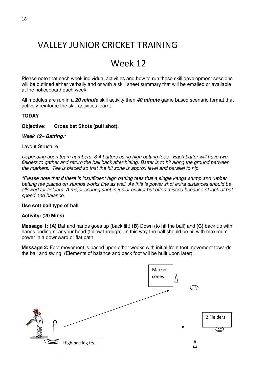### Week 12

Please note that each week individual activities and how to run these skill development sessions will be outlined either verbally and or with a skill sheet summary that will be emailed or available at the noticeboard each week.

All modules are run in a **20 minute** skill activity then **40 minute** game based scenario format that actively reinforce the skill activities learnt.

#### **TODAY**

#### **Objective: Cross bat Shots (pull shot).**

#### **Week 12– Batting:\***

#### Layout Structure

Depending upon team numbers; 3-4 batters using high batting tees. Each batter will have two fielders to gather and return the ball back after hitting. Batter is to hit along the ground between the markers. Tee is placed so that the hit zone is approx level and parallel to hip.

\*Please note that if there is insufficient high batting tees that a single kanga stump and rubber batting tee placed on stumps works fine as well. As this is power shot extra distances should be allowed for fielders. A major scoring shot in junior cricket but often missed because of lack of bat speed and balance.

#### **Use soft ball type of ball**

#### **Activity: (20 Mins)**

**Message 1: (A)** Bat and hands goes up (back lift) **(B)** Down (to hit the ball) and **(C)** back up with hands ending near your head (follow through). In this way the ball should be hit with maximum power in a downward or flat path.

**Message 2:** Foot movement is based upon other weeks with initial front foot movement towards the ball and swing. (Elements of balance and back foot will be built upon later)

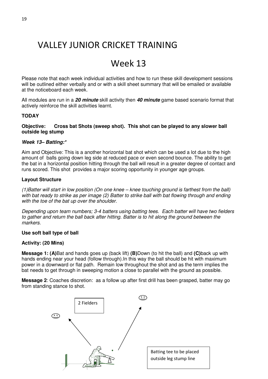### Week 13

Please note that each week individual activities and how to run these skill development sessions will be outlined either verbally and or with a skill sheet summary that will be emailed or available at the noticeboard each week.

All modules are run in a **20 minute** skill activity then **40 minute** game based scenario format that actively reinforce the skill activities learnt.

#### **TODAY**

#### **Objective: Cross bat Shots (sweep shot). This shot can be played to any slower ball outside leg stump**

#### **Week 13– Batting:\***

Aim and Objective: This is a another horizontal bat shot which can be used a lot due to the high amount of balls going down leg side at reduced pace or even second bounce. The ability to get the bat in a horizontal position hitting through the ball will result in a greater degree of contact and runs scored. This shot provides a major scoring opportunity in younger age groups.

#### **Layout Structure**

(1)Batter will start in low position (On one knee – knee touching ground is farthest from the ball) with bat ready to strike as per image (2) Batter to strike ball with bat flowing through and ending with the toe of the bat up over the shoulder.

Depending upon team numbers; 3-4 batters using batting tees. Each batter will have two fielders to gather and return the ball back after hitting. Batter is to hit along the ground between the markers.

#### **Use soft ball type of ball**

#### **Activity: (20 Mins)**

**Message 1: (A)**Bat and hands goes up (back lift) **(B)**Down (to hit the ball) and **(C)**back up with hands ending near your head (follow through).In this way the ball should be hit with maximum power in a downward or flat path. Remain low throughout the shot and as the term implies the bat needs to get through in sweeping motion a close to parallel with the ground as possible.

**Message 2**: Coaches discretion: as a follow up after first drill has been grasped, batter may go from standing stance to shot.

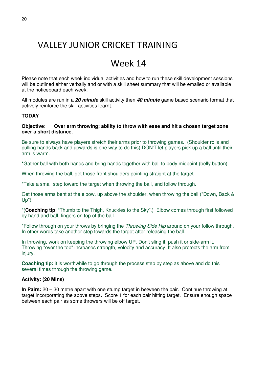### Week 14

Please note that each week individual activities and how to run these skill development sessions will be outlined either verbally and or with a skill sheet summary that will be emailed or available at the noticeboard each week.

All modules are run in a **20 minute** skill activity then **40 minute** game based scenario format that actively reinforce the skill activities learnt.

#### **TODAY**

#### **Objective: Over arm throwing; ability to throw with ease and hit a chosen target zone over a short distance.**

Be sure to always have players stretch their arms prior to throwing games. (Shoulder rolls and pulling hands back and upwards is one way to do this) DON'T let players pick up a ball until their arm is warm.

**\***Gather ball with both hands and bring hands together with ball to body midpoint (belly button).

When throwing the ball, get those front shoulders pointing straight at the target.

\*Take a small step toward the target when throwing the ball, and follow through.

Get those arms bent at the elbow, up above the shoulder, when throwing the ball ("Down, Back & Up").

\*(**Coaching tip**: "Thumb to the Thigh, Knuckles to the Sky".) Elbow comes through first followed by hand and ball, fingers on top of the ball.

\*Follow through on your throws by bringing the *Throwing Side Hip* around on your follow through. In other words take another step towards the target after releasing the ball.

In throwing, work on keeping the throwing elbow UP. Don't sling it, push it or side-arm it. Throwing "over the top" increases strength, velocity and accuracy. It also protects the arm from injury.

**Coaching tip:** it is worthwhile to go through the process step by step as above and do this several times through the throwing game.

#### **Activity: (20 Mins)**

**In Pairs:** 20 – 30 metre apart with one stump target in between the pair. Continue throwing at target incorporating the above steps. Score 1 for each pair hitting target. Ensure enough space between each pair as some throwers will be off target.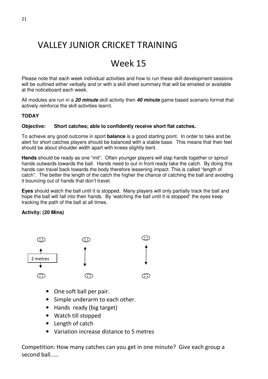## Week 15

Please note that each week individual activities and how to run these skill development sessions will be outlined either verbally and or with a skill sheet summary that will be emailed or available at the noticeboard each week.

All modules are run in a **20 minute** skill activity then **40 minute** game based scenario format that actively reinforce the skill activities learnt.

#### **TODAY**

#### **Objective: Short catches; able to confidently receive short flat catches.**

To achieve any good outcome in sport **balance** is a good starting point. In order to take and be alert for short catches players should be balanced with a stable base. This means that their feet should be about shoulder width apart with knees slightly bent.

**Hands** should be ready as one "mit". Often younger players will slap hands together or sprout hands outwards towards the ball. Hands need to out in front ready take the catch. By doing this hands can travel back towards the body therefore lessening impact. This is called "length of catch". The better the length of the catch the higher the chance of catching the ball and avoiding it bouncing out of hands that don't travel.

**Eyes** should watch the ball until it is stopped. Many players will only partially track the ball and hope the ball will fall into their hands. By 'watching the ball until it is stopped" the eyes keep tracking the path of the ball at all times.

#### **Activity: (20 Mins)**



- One soft ball per pair.
- Simple underarm to each other.
- Hands ready (big target)
- Watch till stopped
- Length of catch
- Variation increase distance to 5 metres

Competition: How many catches can you get in one minute? Give each group a second ball.....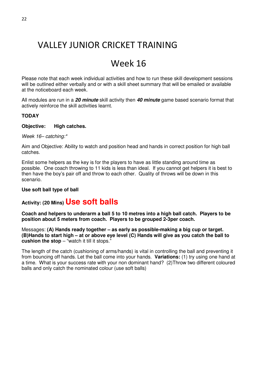### Week 16

Please note that each week individual activities and how to run these skill development sessions will be outlined either verbally and or with a skill sheet summary that will be emailed or available at the noticeboard each week.

All modules are run in a **20 minute** skill activity then **40 minute** game based scenario format that actively reinforce the skill activities learnt.

#### **TODAY**

#### **Objective: High catches.**

Week 16– catching:\*

Aim and Objective: Ability to watch and position head and hands in correct position for high ball catches.

Enlist some helpers as the key is for the players to have as little standing around time as possible. One coach throwing to 11 kids is less than ideal. If you cannot get helpers it is best to then have the boy's pair off and throw to each other. Quality of throws will be down in this scenario.

#### **Use soft ball type of ball**

### **Activity: (20 Mins) Use soft balls**

**Coach and helpers to underarm a ball 5 to 10 metres into a high ball catch. Players to be position about 5 meters from coach. Players to be grouped 2-3per coach.** 

Messages: **(A) Hands ready together – as early as possible-making a big cup or target. (B)Hands to start high – at or above eye level (C) Hands will give as you catch the ball to cushion the stop** – "watch it till it stops."

The length of the catch (cushioning of arms/hands) is vital in controlling the ball and preventing it from bouncing off hands. Let the ball come into your hands. **Variations:** (1) try using one hand at a time. What is your success rate with your non dominant hand? (2)Throw two different coloured balls and only catch the nominated colour (use soft balls)